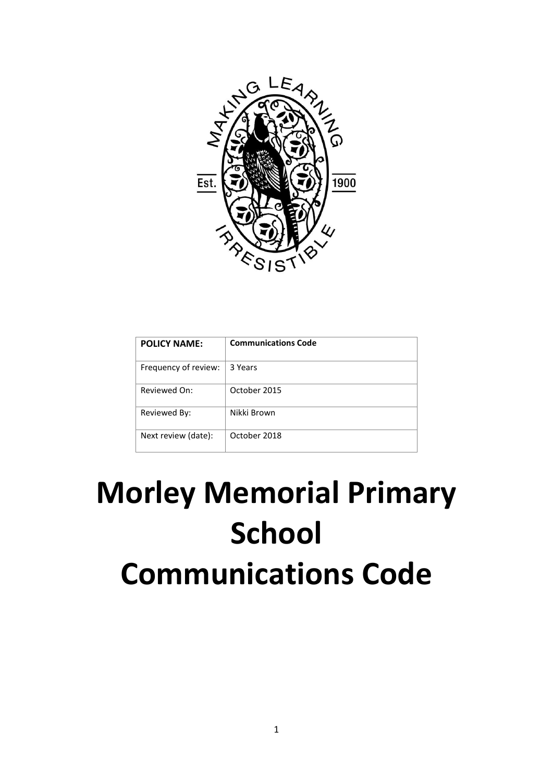

| <b>POLICY NAME:</b>  | <b>Communications Code</b> |
|----------------------|----------------------------|
| Frequency of review: | 3 Years                    |
| Reviewed On:         | October 2015               |
| Reviewed By:         | Nikki Brown                |
| Next review (date):  | October 2018               |

# **Morley Memorial Primary School Communications Code**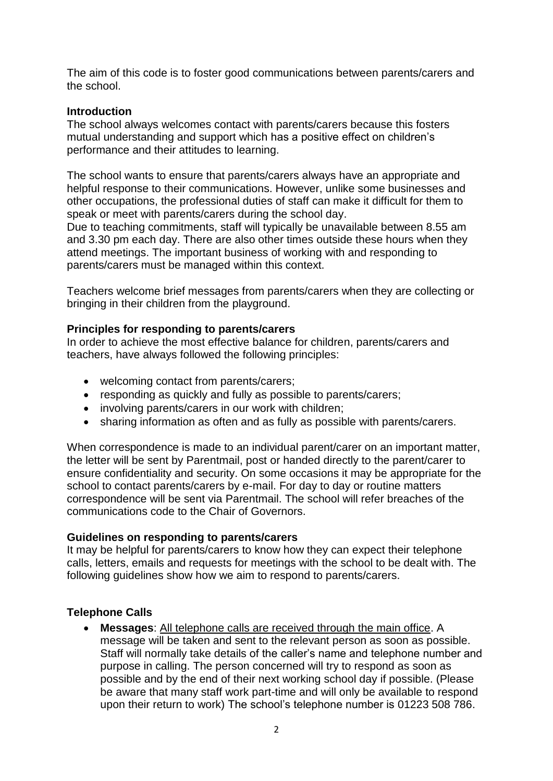The aim of this code is to foster good communications between parents/carers and the school.

#### **Introduction**

The school always welcomes contact with parents/carers because this fosters mutual understanding and support which has a positive effect on children's performance and their attitudes to learning.

The school wants to ensure that parents/carers always have an appropriate and helpful response to their communications. However, unlike some businesses and other occupations, the professional duties of staff can make it difficult for them to speak or meet with parents/carers during the school day.

Due to teaching commitments, staff will typically be unavailable between 8.55 am and 3.30 pm each day. There are also other times outside these hours when they attend meetings. The important business of working with and responding to parents/carers must be managed within this context.

Teachers welcome brief messages from parents/carers when they are collecting or bringing in their children from the playground.

#### **Principles for responding to parents/carers**

In order to achieve the most effective balance for children, parents/carers and teachers, have always followed the following principles:

- welcoming contact from parents/carers;
- responding as quickly and fully as possible to parents/carers;
- involving parents/carers in our work with children;
- sharing information as often and as fully as possible with parents/carers.

When correspondence is made to an individual parent/carer on an important matter, the letter will be sent by Parentmail, post or handed directly to the parent/carer to ensure confidentiality and security. On some occasions it may be appropriate for the school to contact parents/carers by e-mail. For day to day or routine matters correspondence will be sent via Parentmail. The school will refer breaches of the communications code to the Chair of Governors.

#### **Guidelines on responding to parents/carers**

It may be helpful for parents/carers to know how they can expect their telephone calls, letters, emails and requests for meetings with the school to be dealt with. The following guidelines show how we aim to respond to parents/carers.

# **Telephone Calls**

 **Messages**: All telephone calls are received through the main office. A message will be taken and sent to the relevant person as soon as possible. Staff will normally take details of the caller's name and telephone number and purpose in calling. The person concerned will try to respond as soon as possible and by the end of their next working school day if possible. (Please be aware that many staff work part-time and will only be available to respond upon their return to work) The school's telephone number is 01223 508 786.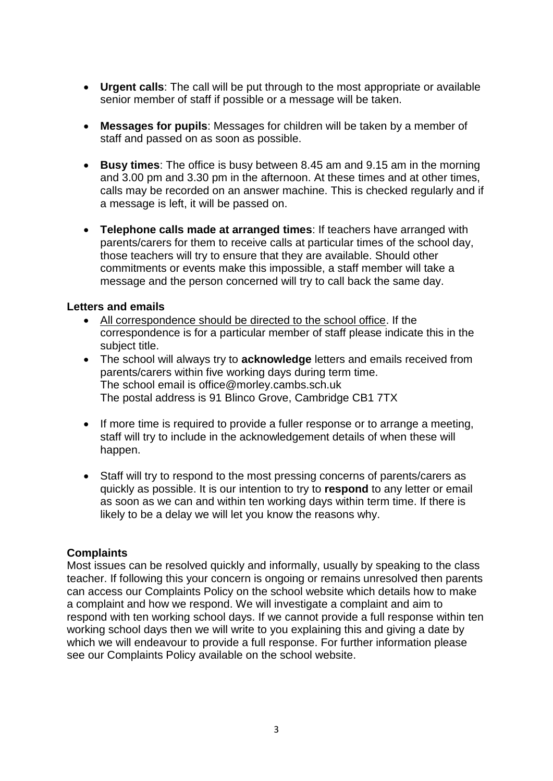- **Urgent calls**: The call will be put through to the most appropriate or available senior member of staff if possible or a message will be taken.
- **Messages for pupils**: Messages for children will be taken by a member of staff and passed on as soon as possible.
- **Busy times**: The office is busy between 8.45 am and 9.15 am in the morning and 3.00 pm and 3.30 pm in the afternoon. At these times and at other times, calls may be recorded on an answer machine. This is checked regularly and if a message is left, it will be passed on.
- **Telephone calls made at arranged times**: If teachers have arranged with parents/carers for them to receive calls at particular times of the school day, those teachers will try to ensure that they are available. Should other commitments or events make this impossible, a staff member will take a message and the person concerned will try to call back the same day.

# **Letters and emails**

- All correspondence should be directed to the school office. If the correspondence is for a particular member of staff please indicate this in the subject title.
- The school will always try to **acknowledge** letters and emails received from parents/carers within five working days during term time. The school email is office@morley.cambs.sch.uk The postal address is 91 Blinco Grove, Cambridge CB1 7TX
- If more time is required to provide a fuller response or to arrange a meeting, staff will try to include in the acknowledgement details of when these will happen.
- Staff will try to respond to the most pressing concerns of parents/carers as quickly as possible. It is our intention to try to **respond** to any letter or email as soon as we can and within ten working days within term time. If there is likely to be a delay we will let you know the reasons why.

# **Complaints**

Most issues can be resolved quickly and informally, usually by speaking to the class teacher. If following this your concern is ongoing or remains unresolved then parents can access our Complaints Policy on the school website which details how to make a complaint and how we respond. We will investigate a complaint and aim to respond with ten working school days. If we cannot provide a full response within ten working school days then we will write to you explaining this and giving a date by which we will endeavour to provide a full response. For further information please see our Complaints Policy available on the school website.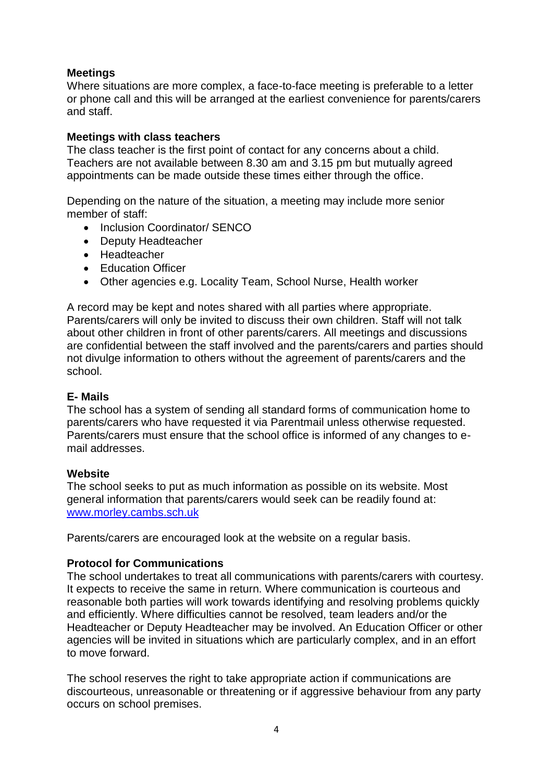# **Meetings**

Where situations are more complex, a face-to-face meeting is preferable to a letter or phone call and this will be arranged at the earliest convenience for parents/carers and staff.

# **Meetings with class teachers**

The class teacher is the first point of contact for any concerns about a child. Teachers are not available between 8.30 am and 3.15 pm but mutually agreed appointments can be made outside these times either through the office.

Depending on the nature of the situation, a meeting may include more senior member of staff:

- Inclusion Coordinator/ SENCO
- Deputy Headteacher
- Headteacher
- Education Officer
- Other agencies e.g. Locality Team, School Nurse, Health worker

A record may be kept and notes shared with all parties where appropriate. Parents/carers will only be invited to discuss their own children. Staff will not talk about other children in front of other parents/carers. All meetings and discussions are confidential between the staff involved and the parents/carers and parties should not divulge information to others without the agreement of parents/carers and the school.

# **E- Mails**

The school has a system of sending all standard forms of communication home to parents/carers who have requested it via Parentmail unless otherwise requested. Parents/carers must ensure that the school office is informed of any changes to email addresses.

# **Website**

The school seeks to put as much information as possible on its website. Most general information that parents/carers would seek can be readily found at: [www.morley.cambs.sch.uk](http://www.morley.cambs.sch.uk/)

Parents/carers are encouraged look at the website on a regular basis.

# **Protocol for Communications**

The school undertakes to treat all communications with parents/carers with courtesy. It expects to receive the same in return. Where communication is courteous and reasonable both parties will work towards identifying and resolving problems quickly and efficiently. Where difficulties cannot be resolved, team leaders and/or the Headteacher or Deputy Headteacher may be involved. An Education Officer or other agencies will be invited in situations which are particularly complex, and in an effort to move forward.

The school reserves the right to take appropriate action if communications are discourteous, unreasonable or threatening or if aggressive behaviour from any party occurs on school premises.